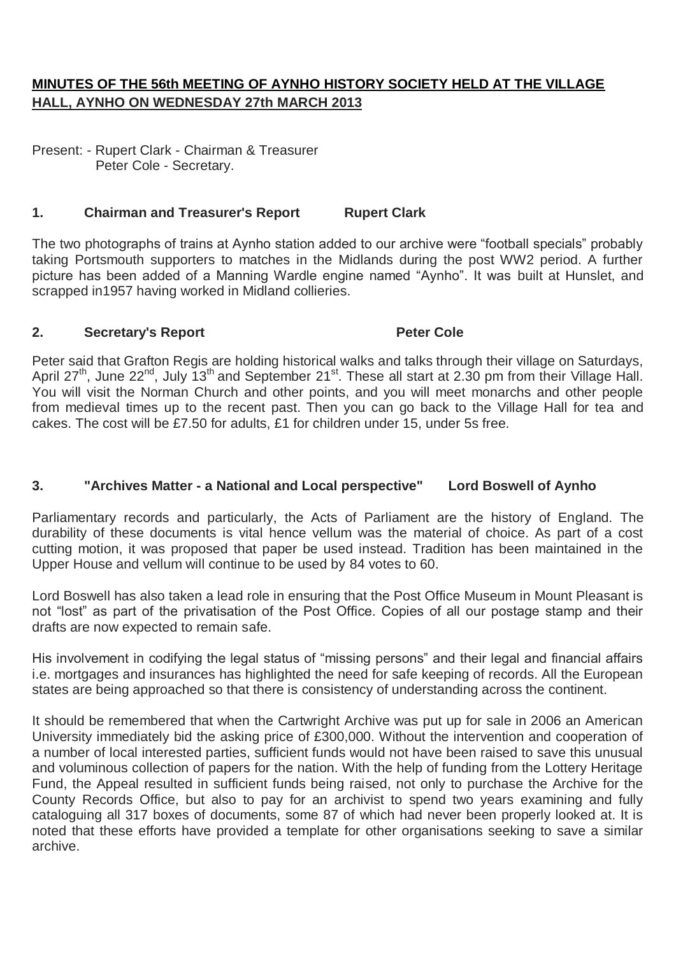# **MINUTES OF THE 56th MEETING OF AYNHO HISTORY SOCIETY HELD AT THE VILLAGE HALL, AYNHO ON WEDNESDAY 27th MARCH 2013**

Present: - Rupert Clark - Chairman & Treasurer Peter Cole - Secretary.

## **1. Chairman and Treasurer's Report Rupert Clark**

The two photographs of trains at Aynho station added to our archive were "football specials" probably taking Portsmouth supporters to matches in the Midlands during the post WW2 period. A further picture has been added of a Manning Wardle engine named "Aynho". It was built at Hunslet, and scrapped in1957 having worked in Midland collieries.

### **2. Secretary's Report Peter Cole**

Peter said that Grafton Regis are holding historical walks and talks through their village on Saturdays, April 27<sup>th</sup>, June 22<sup>nd</sup>, July 13<sup>th</sup> and September 21<sup>st</sup>. These all start at 2.30 pm from their Village Hall. You will visit the Norman Church and other points, and you will meet monarchs and other people from medieval times up to the recent past. Then you can go back to the Village Hall for tea and cakes. The cost will be £7.50 for adults, £1 for children under 15, under 5s free.

### **3. "Archives Matter - a National and Local perspective" Lord Boswell of Aynho**

Parliamentary records and particularly, the Acts of Parliament are the history of England. The durability of these documents is vital hence vellum was the material of choice. As part of a cost cutting motion, it was proposed that paper be used instead. Tradition has been maintained in the Upper House and vellum will continue to be used by 84 votes to 60.

Lord Boswell has also taken a lead role in ensuring that the Post Office Museum in Mount Pleasant is not "lost" as part of the privatisation of the Post Office. Copies of all our postage stamp and their drafts are now expected to remain safe.

His involvement in codifying the legal status of "missing persons" and their legal and financial affairs i.e. mortgages and insurances has highlighted the need for safe keeping of records. All the European states are being approached so that there is consistency of understanding across the continent.

It should be remembered that when the Cartwright Archive was put up for sale in 2006 an American University immediately bid the asking price of £300,000. Without the intervention and cooperation of a number of local interested parties, sufficient funds would not have been raised to save this unusual and voluminous collection of papers for the nation. With the help of funding from the Lottery Heritage Fund, the Appeal resulted in sufficient funds being raised, not only to purchase the Archive for the County Records Office, but also to pay for an archivist to spend two years examining and fully cataloguing all 317 boxes of documents, some 87 of which had never been properly looked at. It is noted that these efforts have provided a template for other organisations seeking to save a similar archive.